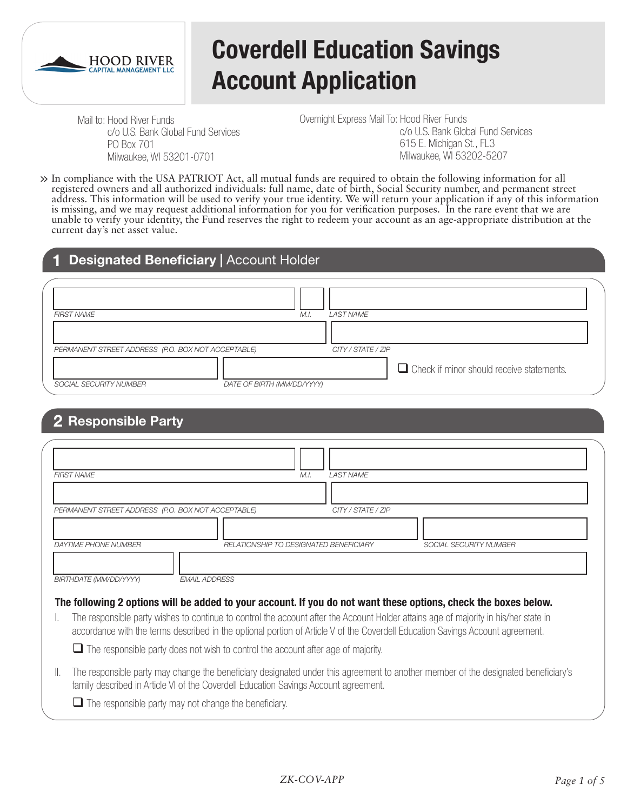

# **Coverdell Education Savings Account Application**

Mail to: Hood River Funds c/o U.S. Bank Global Fund Services PO Box 701 Milwaukee, WI 53201-0701

Overnight Express Mail To: Hood River Funds c/o U.S. Bank Global Fund Services 615 E. Michigan St., FL3 Milwaukee, WI 53202-5207

In compliance with the USA PATRIOT Act, all mutual funds are required to obtain the following information for all registered owners and all authorized individuals: full name, date of birth, Social Security number, and permanent street **>>** address. This information will be used to verify your true identity. We will return your application if any of this information is missing, and we may request additional information for you for verification purposes. In the rare event that we are unable to verify your identity, the Fund reserves the right to redeem your account as an age-appropriate distribution at the current day's net asset value.

## **1 Designated Beneficiary |** Account Holder

| <b>FIRST NAME</b>                                  | M.I.                       | <b>LAST NAME</b>   |                                                  |
|----------------------------------------------------|----------------------------|--------------------|--------------------------------------------------|
|                                                    |                            |                    |                                                  |
| PERMANENT STREET ADDRESS (P.O. BOX NOT ACCEPTABLE) |                            | CITY / STATE / ZIP |                                                  |
|                                                    |                            |                    | $\Box$ Check if minor should receive statements. |
| SOCIAL SECURITY NUMBER                             | DATE OF BIRTH (MM/DD/YYYY) |                    |                                                  |

# **2 Responsible Party**

| <b>FIRST NAME</b>                                  |                                                                                          | M.I.                                   | <b>LAST NAME</b>   |                                                                                                                                      |
|----------------------------------------------------|------------------------------------------------------------------------------------------|----------------------------------------|--------------------|--------------------------------------------------------------------------------------------------------------------------------------|
|                                                    |                                                                                          |                                        |                    |                                                                                                                                      |
|                                                    |                                                                                          |                                        |                    |                                                                                                                                      |
| PERMANENT STREET ADDRESS (P.O. BOX NOT ACCEPTABLE) |                                                                                          |                                        | CITY / STATE / ZIP |                                                                                                                                      |
|                                                    |                                                                                          |                                        |                    |                                                                                                                                      |
| <b>DAYTIME PHONE NUMBER</b>                        |                                                                                          | RELATIONSHIP TO DESIGNATED BENEFICIARY |                    | <b>SOCIAL SECURITY NUMBER</b>                                                                                                        |
|                                                    |                                                                                          |                                        |                    |                                                                                                                                      |
|                                                    |                                                                                          |                                        |                    |                                                                                                                                      |
| BIRTHDATE (MM/DD/YYYY)                             | <b>EMAIL ADDRESS</b>                                                                     |                                        |                    |                                                                                                                                      |
|                                                    |                                                                                          |                                        |                    |                                                                                                                                      |
|                                                    |                                                                                          |                                        |                    | The following 2 options will be added to your account. If you do not want these options, check the boxes below.                      |
|                                                    |                                                                                          |                                        |                    | The responsible party wishes to continue to control the account after the Account Holder attains age of majority in his/her state in |
|                                                    |                                                                                          |                                        |                    | accordance with the terms described in the optional portion of Article V of the Coverdell Education Savings Account agreement.       |
|                                                    |                                                                                          |                                        |                    |                                                                                                                                      |
|                                                    | $\Box$ The responsible party does not wish to control the account after age of majority. |                                        |                    |                                                                                                                                      |
|                                                    |                                                                                          |                                        |                    |                                                                                                                                      |
|                                                    |                                                                                          |                                        |                    | 그대 그는 그리고 나는 그리고 다른 사람들은 다른 그리고 그리고 나는 그리고 다른 사람들이 많은 것 같다.                                                                          |

II. The responsible party may change the beneficiary designated under this agreement to another member of the designated beneficiary's family described in Article VI of the Coverdell Education Savings Account agreement.

 $\Box$  The responsible party may not change the beneficiary.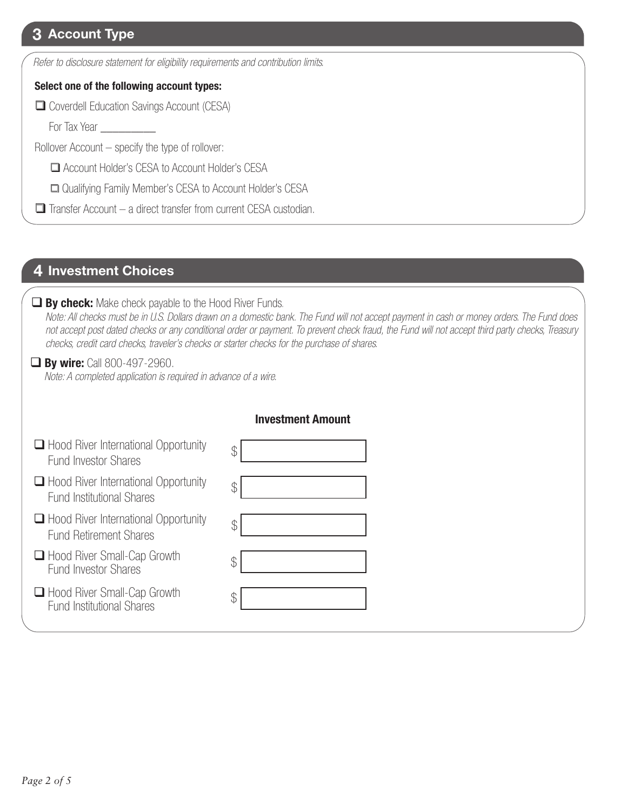# **3 Account Type**

*Refer to disclosure statement for eligibility requirements and contribution limits.*

#### **Select one of the following account types:**

Coverdell Education Savings Account (CESA)

For Tax Year \_\_\_\_\_\_\_\_\_

Rollover Account – specify the type of rollover:

Account Holder's CESA to Account Holder's CESA

□ Qualifying Family Member's CESA to Account Holder's CESA

 $\Box$  Transfer Account – a direct transfer from current CESA custodian.

## **4 Investment Choices**

#### **By check:** Make check payable to the Hood River Funds.

 *Note: All checks must be in U.S. Dollars drawn on a domestic bank. The Fund will not accept payment in cash or money orders. The Fund does not accept post dated checks or any conditional order or payment. To prevent check fraud, the Fund will not accept third party checks, Treasury checks, credit card checks, traveler's checks or starter checks for the purchase of shares.*

**By wire:** Call 800-497-2960.

*Note: A completed application is required in advance of a wire.*

|                                                                                 | <b>Investment Amount</b> |
|---------------------------------------------------------------------------------|--------------------------|
| $\Box$ Hood River International Opportunity<br><b>Fund Investor Shares</b>      | \$                       |
| $\Box$ Hood River International Opportunity<br><b>Fund Institutional Shares</b> | \$                       |
| $\Box$ Hood River International Opportunity<br><b>Fund Retirement Shares</b>    | \$                       |
| $\Box$ Hood River Small-Cap Growth<br>Fund Investor Shares                      | \$                       |
| □ Hood River Small-Cap Growth<br><b>Fund Institutional Shares</b>               | \$                       |
|                                                                                 |                          |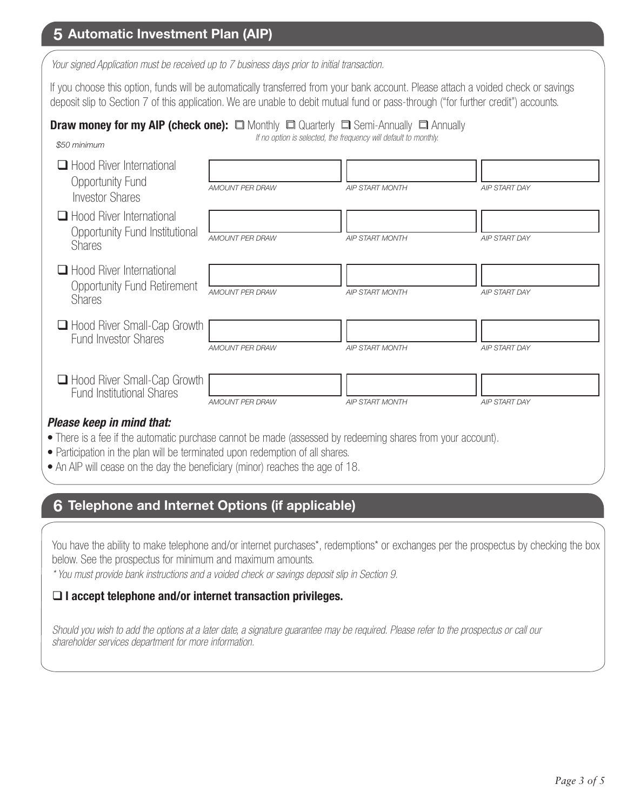# **5 Automatic Investment Plan (AIP)**

*Your signed Application must be received up to 7 business days prior to initial transaction.*

If you choose this option, funds will be automatically transferred from your bank account. Please attach a voided check or savings deposit slip to Section 7 of this application. We are unable to debit mutual fund or pass-through ("for further credit") accounts.

# **Draw money for my AIP (check one):**  $\Box$  Monthly  $\Box$  Quarterly  $\Box$  Semi-Annually  $\Box$  Annually

*\$50 minimum*

*If no option is selected, the frequency will default to monthly.*

| $\Box$ Hood River International<br><b>Opportunity Fund</b><br><b>Investor Shares</b> | <b>AMOUNT PER DRAW</b> | <b>AIP START MONTH</b> | <b>AIP START DAY</b> |
|--------------------------------------------------------------------------------------|------------------------|------------------------|----------------------|
| $\Box$ Hood River International<br>Opportunity Fund Institutional<br><b>Shares</b>   | <b>AMOUNT PER DRAW</b> | <b>AIP START MONTH</b> | <b>AIP START DAY</b> |
| Hood River International<br><b>Opportunity Fund Retirement</b><br><b>Shares</b>      | <b>AMOUNT PER DRAW</b> | <b>AIP START MONTH</b> | <b>AIP START DAY</b> |
| Hood River Small-Cap Growth<br><b>Fund Investor Shares</b>                           | <b>AMOUNT PER DRAW</b> | <b>AIP START MONTH</b> | <b>AIP START DAY</b> |
| Hood River Small-Cap Growth<br><b>Fund Institutional Shares</b>                      | <b>AMOUNT PER DRAW</b> | <b>AIP START MONTH</b> | <b>AIP START DAY</b> |

#### *Please keep in mind that:*

- There is a fee if the automatic purchase cannot be made (assessed by redeeming shares from your account).
- Participation in the plan will be terminated upon redemption of all shares.
- An AIP will cease on the day the beneficiary (minor) reaches the age of 18.

# **6 Telephone and Internet Options (if applicable)**

You have the ability to make telephone and/or internet purchases\*, redemptions\* or exchanges per the prospectus by checking the box below. See the prospectus for minimum and maximum amounts.

*\* You must provide bank instructions and a voided check or savings deposit slip in Section 9.* 

#### **I accept telephone and/or internet transaction privileges.**

*Should you wish to add the options at a later date, a signature guarantee may be required. Please refer to the prospectus or call our shareholder services department for more information.*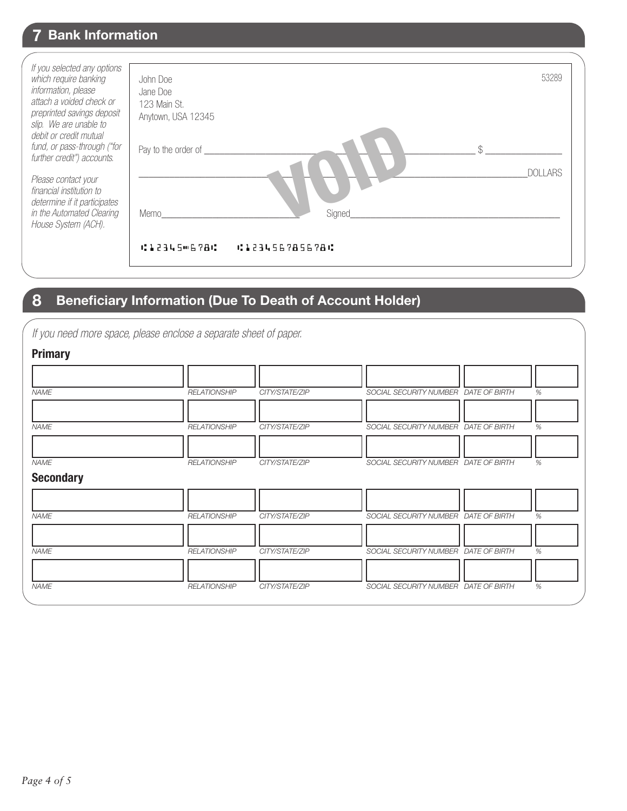# **7 Bank Information**

| If you selected any options<br>which require banking<br>information, please<br>attach a voided check or<br>preprinted savings deposit<br>slip. We are unable to<br>debit or credit mutual | John Doe<br>Jane Doe<br>123 Main St.<br>Anytown, USA 12345 |                       | 53289          |
|-------------------------------------------------------------------------------------------------------------------------------------------------------------------------------------------|------------------------------------------------------------|-----------------------|----------------|
| fund, or pass-through ("for<br>further credit") accounts.                                                                                                                                 | Pay to the order of                                        |                       | ¢              |
| Please contact your<br>financial institution to<br>determine if it participates                                                                                                           |                                                            |                       | <b>DOLLARS</b> |
| in the Automated Clearing<br>House System (ACH).                                                                                                                                          | Memo                                                       | Signed                |                |
|                                                                                                                                                                                           | 1:123450678C                                               | <b>CI23456785678C</b> |                |

# **8 Beneficiary Information (Due To Death of Account Holder)**

|  |  |  |  | If you need more space, please enclose a separate sheet of paper. |
|--|--|--|--|-------------------------------------------------------------------|

| <b>Primary</b>                  |                     |                |                                      |   |
|---------------------------------|---------------------|----------------|--------------------------------------|---|
| <b>NAME</b>                     | <b>RELATIONSHIP</b> | CITY/STATE/ZIP | SOCIAL SECURITY NUMBER DATE OF BIRTH | % |
| <b>NAME</b>                     | <b>RELATIONSHIP</b> | CITY/STATE/ZIP | SOCIAL SECURITY NUMBER DATE OF BIRTH | % |
| <b>NAME</b><br><b>Secondary</b> | <b>RELATIONSHIP</b> | CITY/STATE/ZIP | SOCIAL SECURITY NUMBER DATE OF BIRTH | % |
| <b>NAME</b>                     | <b>RELATIONSHIP</b> | CITY/STATE/ZIP | SOCIAL SECURITY NUMBER DATE OF BIRTH | % |
| <b>NAME</b>                     | <b>RELATIONSHIP</b> | CITY/STATE/ZIP | SOCIAL SECURITY NUMBER DATE OF BIRTH | % |
| <b>NAME</b>                     | <b>RELATIONSHIP</b> | CITY/STATE/ZIP | SOCIAL SECURITY NUMBER DATE OF BIRTH | % |
|                                 |                     |                |                                      |   |